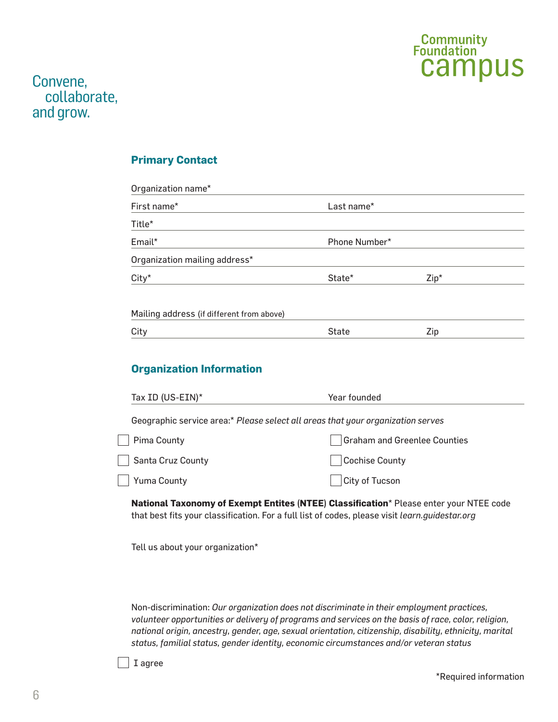

### **Primary Contact**

| Organization name*                        |               |        |  |  |
|-------------------------------------------|---------------|--------|--|--|
| First name*                               | Last name*    |        |  |  |
| Title*                                    |               |        |  |  |
| Email*                                    | Phone Number* |        |  |  |
| Organization mailing address*             |               |        |  |  |
| $City*$                                   | State*        | $Zip*$ |  |  |
| Mailing address (if different from above) |               |        |  |  |
| City                                      | State         | Zip    |  |  |

## **Organization Information**

| Tax ID (US-EIN)*                                                                | Year founded                        |  |  |  |
|---------------------------------------------------------------------------------|-------------------------------------|--|--|--|
| Geographic service area:* Please select all areas that your organization serves |                                     |  |  |  |
| Pima County                                                                     | <b>Graham and Greenlee Counties</b> |  |  |  |
| <b>Santa Cruz County</b>                                                        | Cochise County                      |  |  |  |
| Yuma County                                                                     | City of Tucson                      |  |  |  |

**National Taxonomy of Exempt Entites (NTEE) Classification**\* Please enter your NTEE code that best fits your classification. For a full list of codes, please visit *learn.guidestar.org*

Tell us about your organization\*

Non-discrimination: *Our organization does not discriminate in their employment practices, volunteer opportunities or delivery of programs and services on the basis of race, color, religion, national origin, ancestry, gender, age, sexual orientation, citizenship, disability, ethnicity, marital status, familial status, gender identity, economic circumstances and/or veteran status*

I agree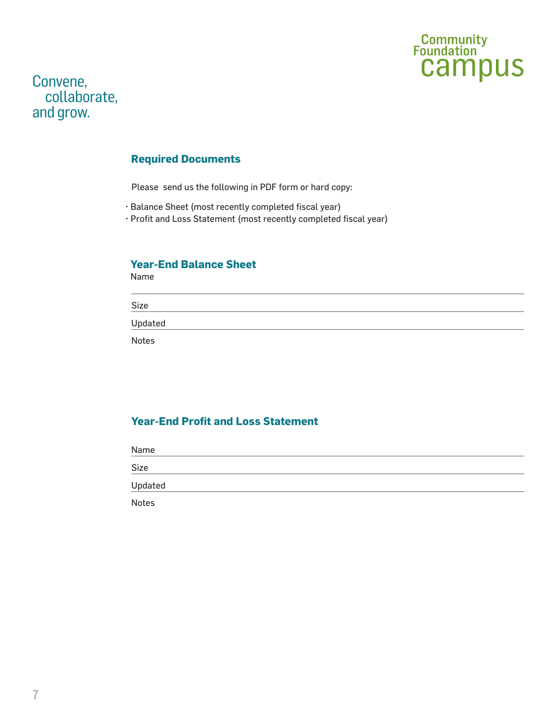

#### **Required Documents**

Please send us the following in PDF form or hard copy:

- Balance Sheet (most recently completed fiscal year)
- Profit and Loss Statement (most recently completed fiscal year)

#### **Year-End Balance Sheet**

Name

Size

Updated

Notes

### **Year-End Profit and Loss Statement**

| Name         |  |  |
|--------------|--|--|
| Size         |  |  |
| Updated      |  |  |
| <b>Notes</b> |  |  |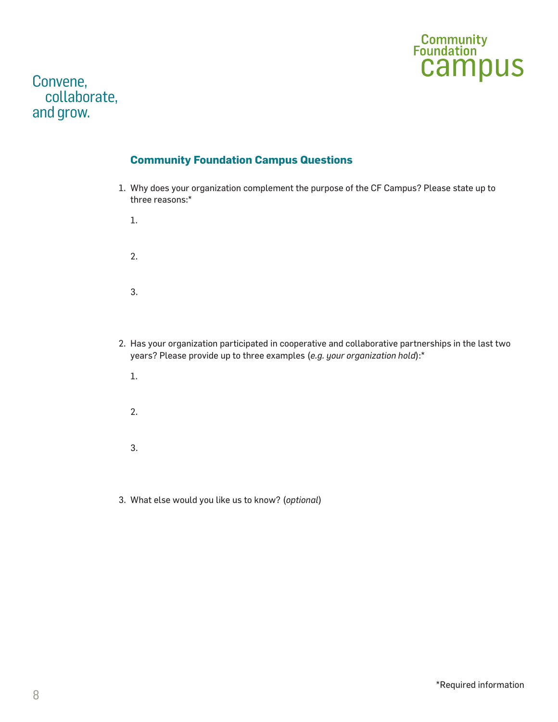

### **Community Foundation Campus Questions**

1. Why does your organization complement the purpose of the CF Campus? Please state up to three reasons:\*

1.

2.

3.

- 2. Has your organization participated in cooperative and collaborative partnerships in the last two years? Please provide up to three examples (*e.g. your organization hold*):\*
	- 1.

2.

3.

3. What else would you like us to know? (*optional*)